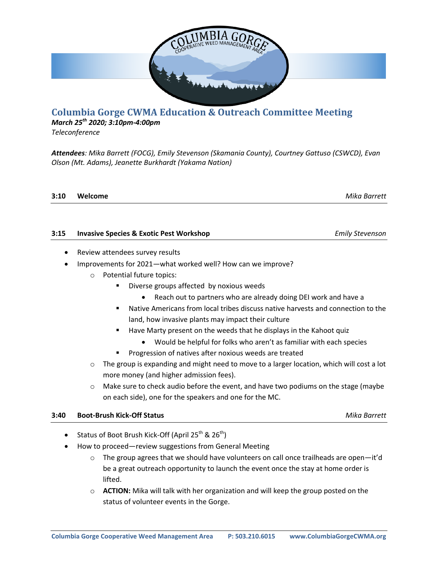

## **Columbia Gorge CWMA Education & Outreach Committee Meeting**

*March 25th 2020; 3:10pm-4:00pm*

*Teleconference*

*Attendees: Mika Barrett (FOCG), Emily Stevenson (Skamania County), Courtney Gattuso (CSWCD), Evan Olson (Mt. Adams), Jeanette Burkhardt (Yakama Nation)*

| 3:10 | Welcome | Mika Barrett |
|------|---------|--------------|

| 3:15 | <b>Invasive Species &amp; Exotic Pest Workshop</b> | <b>Emily Stevenson</b> |
|------|----------------------------------------------------|------------------------|
|      |                                                    |                        |

- Review attendees survey results
- Improvements for 2021—what worked well? How can we improve?
	- o Potential future topics:
		- **Diverse groups affected by noxious weeds** 
			- Reach out to partners who are already doing DEI work and have a
		- Native Americans from local tribes discuss native harvests and connection to the land, how invasive plants may impact their culture
		- Have Marty present on the weeds that he displays in the Kahoot quiz
			- Would be helpful for folks who aren't as familiar with each species
			- Progression of natives after noxious weeds are treated
	- $\circ$  The group is expanding and might need to move to a larger location, which will cost a lot more money (and higher admission fees).
	- $\circ$  Make sure to check audio before the event, and have two podiums on the stage (maybe on each side), one for the speakers and one for the MC.

## **3:40 Boot-Brush Kick-Off Status** *Mika Barrett* All

- Status of Boot Brush Kick-Off (April 25<sup>th</sup> & 26<sup>th</sup>)
- How to proceed—review suggestions from General Meeting
	- $\circ$  The group agrees that we should have volunteers on call once trailheads are open—it'd be a great outreach opportunity to launch the event once the stay at home order is lifted.
	- o **ACTION:** Mika will talk with her organization and will keep the group posted on the status of volunteer events in the Gorge.